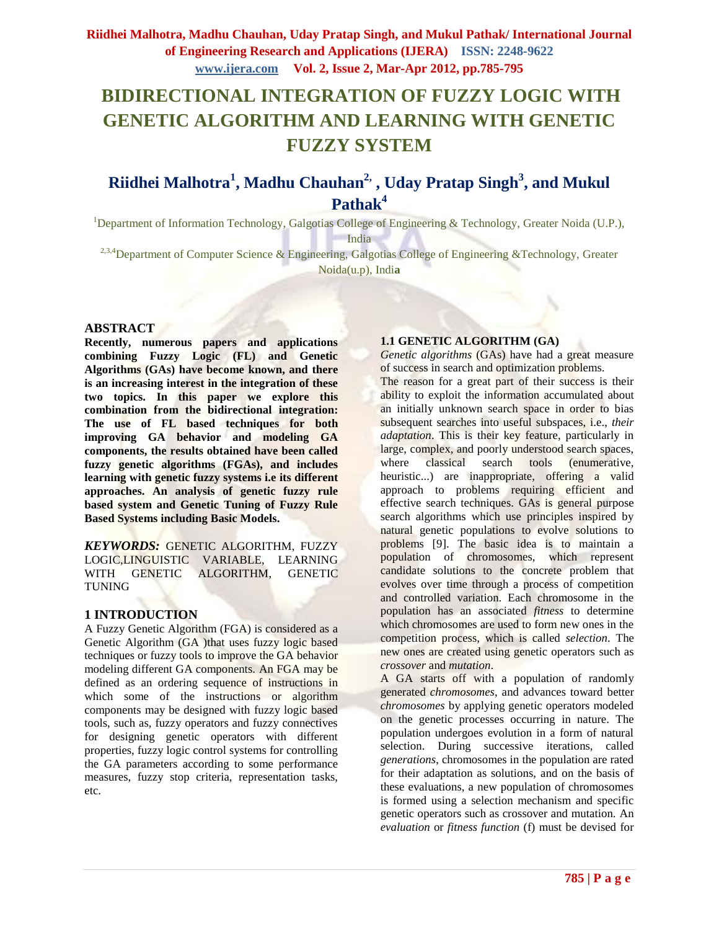# **BIDIRECTIONAL INTEGRATION OF FUZZY LOGIC WITH GENETIC ALGORITHM AND LEARNING WITH GENETIC FUZZY SYSTEM**

## **Riidhei Malhotra<sup>1</sup> , Madhu Chauhan2, , Uday Pratap Singh<sup>3</sup> , and Mukul Pathak<sup>4</sup>**

<sup>1</sup>Department of Information Technology, Galgotias College of Engineering & Technology, Greater Noida (U.P.), India

<sup>2,3,4</sup>Department of Computer Science & Engineering, Galgotias College of Engineering & Technology, Greater Noida(u.p), Indi**a** 

### **ABSTRACT**

**Recently, numerous papers and applications combining Fuzzy Logic (FL) and Genetic Algorithms (GAs) have become known, and there is an increasing interest in the integration of these two topics. In this paper we explore this combination from the bidirectional integration: The use of FL based techniques for both improving GA behavior and modeling GA components, the results obtained have been called fuzzy genetic algorithms (FGAs), and includes learning with genetic fuzzy systems i.e its different approaches. An analysis of genetic fuzzy rule based system and Genetic Tuning of Fuzzy Rule Based Systems including Basic Models.**

*KEYWORDS:* GENETIC ALGORITHM, FUZZY LOGIC,LINGUISTIC VARIABLE, LEARNING WITH GENETIC ALGORITHM, GENETIC TUNING

### **1 INTRODUCTION**

A Fuzzy Genetic Algorithm (FGA) is considered as a Genetic Algorithm (GA )that uses fuzzy logic based techniques or fuzzy tools to improve the GA behavior modeling different GA components. An FGA may be defined as an ordering sequence of instructions in which some of the instructions or algorithm components may be designed with fuzzy logic based tools, such as, fuzzy operators and fuzzy connectives for designing genetic operators with different properties, fuzzy logic control systems for controlling the GA parameters according to some performance measures, fuzzy stop criteria, representation tasks, etc.

### **1.1 GENETIC ALGORITHM (GA)**

*Genetic algorithms* (GAs) have had a great measure of success in search and optimization problems. The reason for a great part of their success is their ability to exploit the information accumulated about an initially unknown search space in order to bias subsequent searches into useful subspaces, i.e., *their adaptation*. This is their key feature, particularly in large, complex, and poorly understood search spaces, where classical search tools (enumerative, heuristic...) are inappropriate, offering a valid approach to problems requiring efficient and effective search techniques. GAs is general purpose search algorithms which use principles inspired by natural genetic populations to evolve solutions to problems [9]. The basic idea is to maintain a population of chromosomes, which represent candidate solutions to the concrete problem that evolves over time through a process of competition and controlled variation. Each chromosome in the population has an associated *fitness* to determine which chromosomes are used to form new ones in the competition process, which is called *selection*. The new ones are created using genetic operators such as *crossover* and *mutation*.

A GA starts off with a population of randomly generated *chromosomes*, and advances toward better *chromosomes* by applying genetic operators modeled on the genetic processes occurring in nature. The population undergoes evolution in a form of natural selection. During successive iterations, called *generations*, chromosomes in the population are rated for their adaptation as solutions, and on the basis of these evaluations, a new population of chromosomes is formed using a selection mechanism and specific genetic operators such as crossover and mutation. An *evaluation* or *fitness function* (f) must be devised for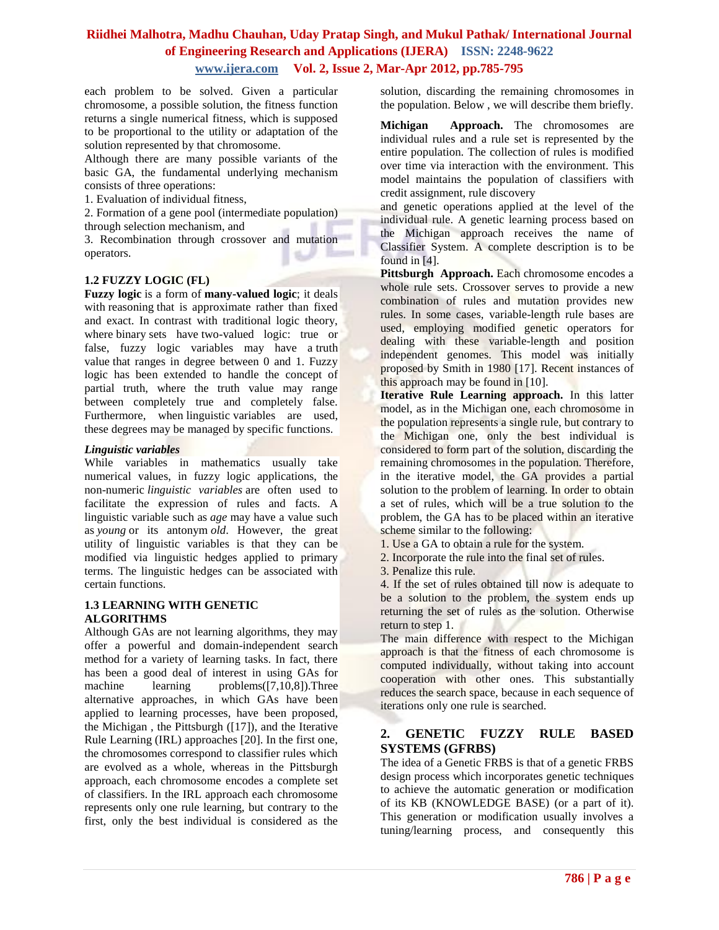each problem to be solved. Given a particular chromosome, a possible solution, the fitness function returns a single numerical fitness, which is supposed to be proportional to the utility or adaptation of the solution represented by that chromosome.

Although there are many possible variants of the basic GA, the fundamental underlying mechanism consists of three operations:

1. Evaluation of individual fitness,

2. Formation of a gene pool (intermediate population) through selection mechanism, and

3. Recombination through crossover and mutation operators. s.

### **1.2 FUZZY LOGIC (FL)**

**Fuzzy logic** is a form of **[many-valued logic](http://en.wikipedia.org/wiki/Many-valued_logic)**; it deals with [reasoning](http://en.wikipedia.org/wiki/Reasoning) that is approximate rather than fixed and exact. In contrast with traditional logic theory, where [binary](http://en.wiktionary.org/wiki/binary) sets have [two-valued logic:](http://en.wikipedia.org/wiki/Two-valued_logic) true or false, fuzzy logic variables may have a [truth](http://en.wikipedia.org/wiki/Truth_value)  [value](http://en.wikipedia.org/wiki/Truth_value) that ranges in degree between 0 and 1. Fuzzy logic has been extended to handle the concept of partial truth, where the truth value may range between completely true and completely false. Furthermore, when [linguistic](http://en.wikipedia.org/wiki/Linguist) variables are used, these degrees may be managed by specific functions.

### *Linguistic variables*

While variables in mathematics usually take numerical values, in fuzzy logic applications, the non-numeric *linguistic variables* are often used to facilitate the expression of rules and facts. A linguistic variable such as *age* may have a value such as *young* or its antonym *old*. However, the great utility of linguistic variables is that they can be modified via linguistic hedges applied to primary terms. The linguistic hedges can be associated with certain functions.

### **1.3 LEARNING WITH GENETIC ALGORITHMS**

Although GAs are not learning algorithms, they may offer a powerful and domain-independent search method for a variety of learning tasks. In fact, there has been a good deal of interest in using GAs for machine learning problems([7,10,8]).Three alternative approaches, in which GAs have been applied to learning processes, have been proposed, the Michigan , the Pittsburgh ([17]), and the Iterative Rule Learning (IRL) approaches [20]. In the first one, the chromosomes correspond to classifier rules which are evolved as a whole, whereas in the Pittsburgh approach, each chromosome encodes a complete set of classifiers. In the IRL approach each chromosome represents only one rule learning, but contrary to the first, only the best individual is considered as the

solution, discarding the remaining chromosomes in the population. Below , we will describe them briefly.

**Michigan Approach.** The chromosomes are individual rules and a rule set is represented by the entire population. The collection of rules is modified over time via interaction with the environment. This model maintains the population of classifiers with credit assignment, rule discovery

and genetic operations applied at the level of the individual rule. A genetic learning process based on the Michigan approach receives the name of Classifier System. A complete description is to be found in [4].

Pittsburgh Approach. Each chromosome encodes a whole rule sets. Crossover serves to provide a new combination of rules and mutation provides new rules. In some cases, variable-length rule bases are used, employing modified genetic operators for dealing with these variable-length and position independent genomes. This model was initially proposed by Smith in 1980 [17]. Recent instances of this approach may be found in [10].

**Iterative Rule Learning approach.** In this latter model, as in the Michigan one, each chromosome in the population represents a single rule, but contrary to the Michigan one, only the best individual is considered to form part of the solution, discarding the remaining chromosomes in the population. Therefore, in the iterative model, the GA provides a partial solution to the problem of learning. In order to obtain a set of rules, which will be a true solution to the problem, the GA has to be placed within an iterative scheme similar to the following:

- 1. Use a GA to obtain a rule for the system.
- 2. Incorporate the rule into the final set of rules.
- 3. Penalize this rule.

4. If the set of rules obtained till now is adequate to be a solution to the problem, the system ends up returning the set of rules as the solution. Otherwise return to step 1.

The main difference with respect to the Michigan approach is that the fitness of each chromosome is computed individually, without taking into account cooperation with other ones. This substantially reduces the search space, because in each sequence of iterations only one rule is searched.

### **2. GENETIC FUZZY RULE BASED SYSTEMS (GFRBS)**

The idea of a Genetic FRBS is that of a genetic FRBS design process which incorporates genetic techniques to achieve the automatic generation or modification of its KB (KNOWLEDGE BASE) (or a part of it). This generation or modification usually involves a tuning/learning process, and consequently this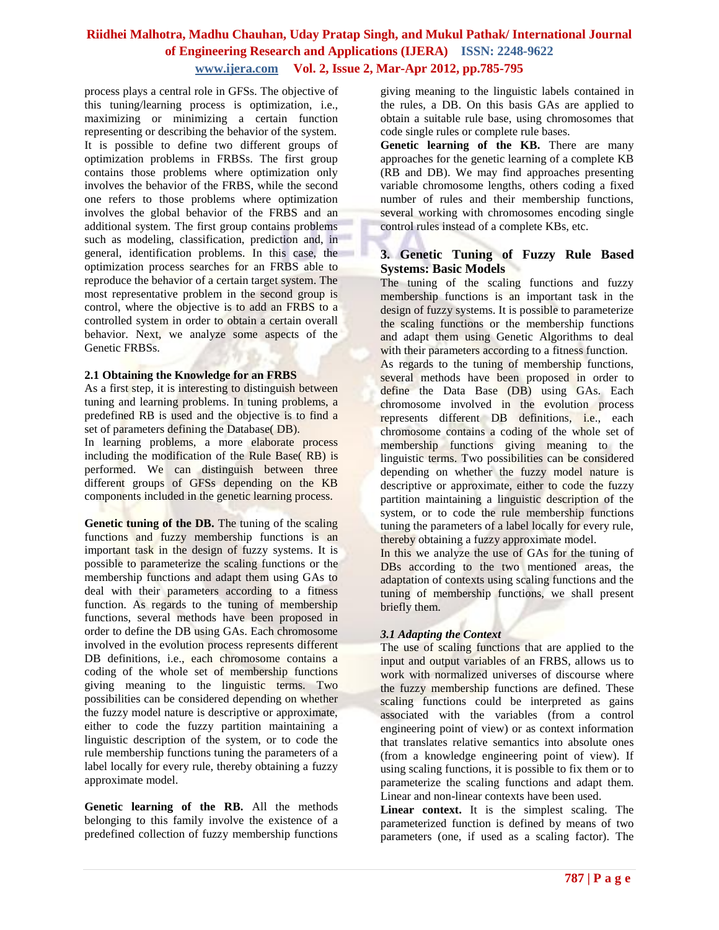process plays a central role in GFSs. The objective of this tuning/learning process is optimization, i.e., maximizing or minimizing a certain function representing or describing the behavior of the system. It is possible to define two different groups of optimization problems in FRBSs. The first group contains those problems where optimization only involves the behavior of the FRBS, while the second one refers to those problems where optimization involves the global behavior of the FRBS and an additional system. The first group contains problems such as modeling, classification, prediction and, in general, identification problems. In this case, the optimization process searches for an FRBS able to reproduce the behavior of a certain target system. The most representative problem in the second group is control, where the objective is to add an FRBS to a controlled system in order to obtain a certain overall behavior. Next, we analyze some aspects of the Genetic FRBSs.

#### **2.1 Obtaining the Knowledge for an FRBS**

As a first step, it is interesting to distinguish between tuning and learning problems. In tuning problems, a predefined RB is used and the objective is to find a set of parameters defining the Database( DB).

In learning problems, a more elaborate process including the modification of the Rule Base( RB) is performed. We can distinguish between three different groups of GFSs depending on the KB components included in the genetic learning process.

**Genetic tuning of the DB.** The tuning of the scaling functions and fuzzy membership functions is an important task in the design of fuzzy systems. It is possible to parameterize the scaling functions or the membership functions and adapt them using GAs to deal with their parameters according to a fitness function. As regards to the tuning of membership functions, several methods have been proposed in order to define the DB using GAs. Each chromosome involved in the evolution process represents different DB definitions, i.e., each chromosome contains a coding of the whole set of membership functions giving meaning to the linguistic terms. Two possibilities can be considered depending on whether the fuzzy model nature is descriptive or approximate, either to code the fuzzy partition maintaining a linguistic description of the system, or to code the rule membership functions tuning the parameters of a label locally for every rule, thereby obtaining a fuzzy approximate model.

**Genetic learning of the RB.** All the methods belonging to this family involve the existence of a predefined collection of fuzzy membership functions

giving meaning to the linguistic labels contained in the rules, a DB. On this basis GAs are applied to obtain a suitable rule base, using chromosomes that code single rules or complete rule bases.

**Genetic learning of the KB.** There are many approaches for the genetic learning of a complete KB (RB and DB). We may find approaches presenting variable chromosome lengths, others coding a fixed number of rules and their membership functions, several working with chromosomes encoding single control rules instead of a complete KBs, etc.

### **3. Genetic Tuning of Fuzzy Rule Based Systems: Basic Models**

The tuning of the scaling functions and fuzzy membership functions is an important task in the design of fuzzy systems. It is possible to parameterize the scaling functions or the membership functions and adapt them using Genetic Algorithms to deal with their parameters according to a fitness function.

As regards to the tuning of membership functions, several methods have been proposed in order to define the Data Base (DB) using GAs. Each chromosome involved in the evolution process represents different DB definitions, i.e., each chromosome contains a coding of the whole set of membership functions giving meaning to the linguistic terms. Two possibilities can be considered depending on whether the fuzzy model nature is descriptive or approximate, either to code the fuzzy partition maintaining a linguistic description of the system, or to code the rule membership functions tuning the parameters of a label locally for every rule, thereby obtaining a fuzzy approximate model.

In this we analyze the use of GAs for the tuning of DBs according to the two mentioned areas, the adaptation of contexts using scaling functions and the tuning of membership functions, we shall present briefly them.

### *3.1 Adapting the Context*

The use of scaling functions that are applied to the input and output variables of an FRBS, allows us to work with normalized universes of discourse where the fuzzy membership functions are defined. These scaling functions could be interpreted as gains associated with the variables (from a control engineering point of view) or as context information that translates relative semantics into absolute ones (from a knowledge engineering point of view). If using scaling functions, it is possible to fix them or to parameterize the scaling functions and adapt them. Linear and non-linear contexts have been used.

Linear context. It is the simplest scaling. The parameterized function is defined by means of two parameters (one, if used as a scaling factor). The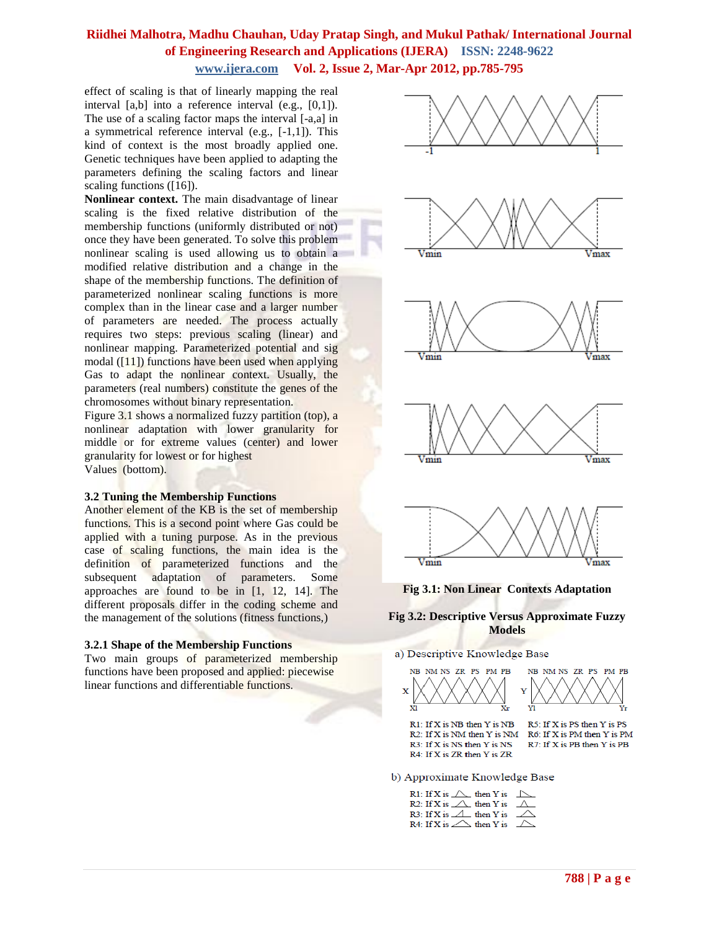effect of scaling is that of linearly mapping the real interval [a,b] into a reference interval (e.g., [0,1]). The use of a scaling factor maps the interval [-a,a] in a symmetrical reference interval (e.g., [-1,1]). This kind of context is the most broadly applied one. Genetic techniques have been applied to adapting the parameters defining the scaling factors and linear scaling functions ([16]).

**Nonlinear context.** The main disadvantage of linear scaling is the fixed relative distribution of the membership functions (uniformly distributed or not) once they have been generated. To solve this problem nonlinear scaling is used allowing us to obtain a modified relative distribution and a change in the shape of the membership functions. The definition of parameterized nonlinear scaling functions is more complex than in the linear case and a larger number of parameters are needed. The process actually requires two steps: previous scaling (linear) and nonlinear mapping. Parameterized potential and sig modal  $([11])$  functions have been used when applying Gas to adapt the nonlinear context. Usually, the parameters (real numbers) constitute the genes of the chromosomes without binary representation.

Figure 3.1 shows a normalized fuzzy partition (top), a nonlinear adaptation with lower granularity for middle or for extreme values (center) and lower granularity for lowest or for highest Values (bottom).

#### **3.2 Tuning the Membership Functions**

Another element of the KB is the set of membership functions. This is a second point where Gas could be applied with a tuning purpose. As in the previous case of scaling functions, the main idea is the definition of parameterized functions and the subsequent adaptation of parameters. Some approaches are found to be in [1, 12, 14]. The different proposals differ in the coding scheme and the management of the solutions (fitness functions,)

#### **3.2.1 Shape of the Membership Functions**

Two main groups of parameterized membership functions have been proposed and applied: piecewise linear functions and differentiable functions.



#### **Fig 3.2: Descriptive Versus Approximate Fuzzy Models**

#### a) Descriptive Knowledge Base





 $R1$ : If X is NB then Y is NB R2: If X is NM then Y is NM R6: If X is PM then Y is PM R3: If X is NS then Y is NS R4: If X is ZR then Y is ZR

R5: If X is PS then Y is PS R7: If X is PB then Y is PB

b) Approximate Knowledge Base

| R1: If X is $\triangle$ then Y is $\triangle$ |  |
|-----------------------------------------------|--|
| R2: If X is $\triangle$ then Y is $\triangle$ |  |
| R3: If X is $\triangle$ then Y is $\triangle$ |  |
| R4: If X is $\triangle$ then Y is $\triangle$ |  |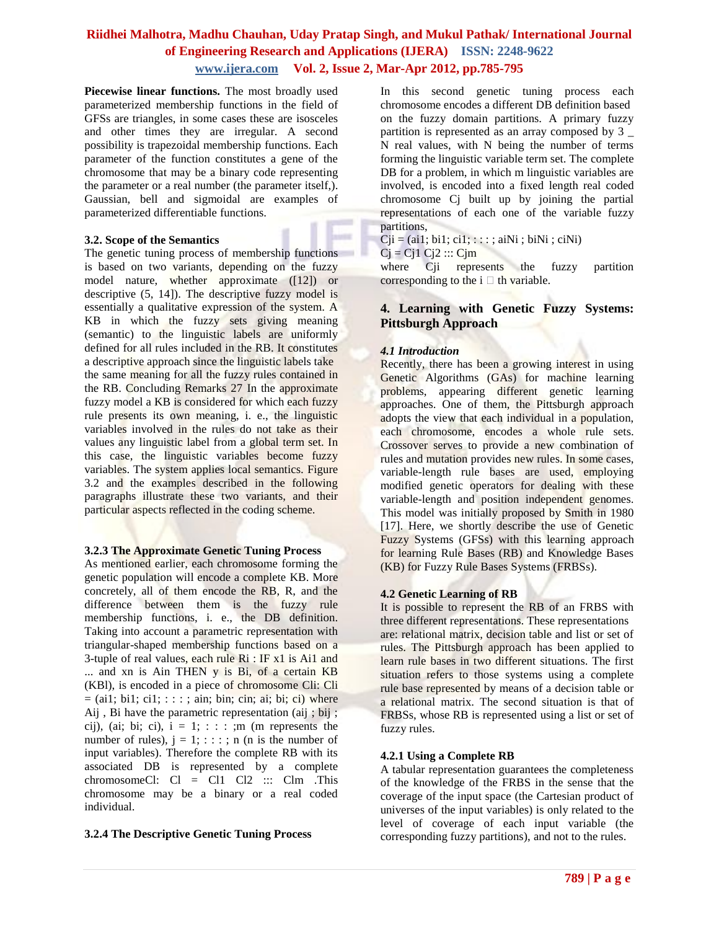Piecewise linear functions. The most broadly used parameterized membership functions in the field of GFSs are triangles, in some cases these are isosceles and other times they are irregular. A second possibility is trapezoidal membership functions. Each parameter of the function constitutes a gene of the chromosome that may be a binary code representing the parameter or a real number (the parameter itself,). Gaussian, bell and sigmoidal are examples of parameterized differentiable functions.

### **3.2. Scope of the Semantics**

The genetic tuning process of membership functions is based on two variants, depending on the fuzzy model nature, whether approximate ([12]) or descriptive (5, 14]). The descriptive fuzzy model is essentially a qualitative expression of the system. A KB in which the fuzzy sets giving meaning (semantic) to the linguistic labels are uniformly defined for all rules included in the RB. It constitutes a descriptive approach since the linguistic labels take the same meaning for all the fuzzy rules contained in the RB. Concluding Remarks 27 In the approximate fuzzy model a KB is considered for which each fuzzy rule presents its own meaning, i. e., the linguistic variables involved in the rules do not take as their values any linguistic label from a global term set. In this case, the linguistic variables become fuzzy variables. The system applies local semantics. Figure 3.2 and the examples described in the following paragraphs illustrate these two variants, and their particular aspects reflected in the coding scheme.

### **3.2.3 The Approximate Genetic Tuning Process**

As mentioned earlier, each chromosome forming the genetic population will encode a complete KB. More concretely, all of them encode the RB, R, and the difference between them is the fuzzy rule membership functions, i. e., the DB definition. Taking into account a parametric representation with triangular-shaped membership functions based on a 3-tuple of real values, each rule Ri : IF x1 is Ai1 and ... and xn is Ain THEN y is Bi, of a certain KB (KBl), is encoded in a piece of chromosome Cli: Cli  $=$  (ai1; bi1; ci1; : : ; ain; bin; cin; ai; bi; ci) where Aij , Bi have the parametric representation (aij ; bij ; cij), (ai; bi; ci),  $i = 1$ ; : : : ;m (m represents the number of rules),  $j = 1$ ; : : : ; n (n is the number of input variables). Therefore the complete RB with its associated DB is represented by a complete chromosomeCl:  $Cl = Cl1 Cl2 :: Clm$ . This chromosome may be a binary or a real coded individual.

### **3.2.4 The Descriptive Genetic Tuning Process**

In this second genetic tuning process each chromosome encodes a different DB definition based on the fuzzy domain partitions. A primary fuzzy partition is represented as an array composed by 3 \_ N real values, with N being the number of terms forming the linguistic variable term set. The complete DB for a problem, in which m linguistic variables are involved, is encoded into a fixed length real coded chromosome Cj built up by joining the partial representations of each one of the variable fuzzy partitions,

 $Cji = (ai1; bi1; ci1; \dots; aiNi; biNi; ciNi)$ 

 $Cj = Cj1 Cj2 :: Cjm$ 

where Cii represents the fuzzy partition corresponding to the  $i \Box$  th variable.

### **4. Learning with Genetic Fuzzy Systems: Pittsburgh Approach**

### *4.1 Introduction*

Recently, there has been a growing interest in using Genetic Algorithms (GAs) for machine learning problems, appearing different genetic learning approaches. One of them, the Pittsburgh approach adopts the view that each individual in a population, each chromosome, encodes a whole rule sets. Crossover serves to provide a new combination of rules and mutation provides new rules. In some cases, variable-length rule bases are used, employing modified genetic operators for dealing with these variable-length and position independent genomes. This model was initially proposed by Smith in 1980 [17]. Here, we shortly describe the use of Genetic Fuzzy Systems (GFSs) with this learning approach for learning Rule Bases (RB) and Knowledge Bases (KB) for Fuzzy Rule Bases Systems (FRBSs).

### **4.2 Genetic Learning of RB**

It is possible to represent the RB of an FRBS with three different representations. These representations are: relational matrix, decision table and list or set of rules. The Pittsburgh approach has been applied to learn rule bases in two different situations. The first situation refers to those systems using a complete rule base represented by means of a decision table or a relational matrix. The second situation is that of FRBSs, whose RB is represented using a list or set of fuzzy rules.

### **4.2.1 Using a Complete RB**

A tabular representation guarantees the completeness of the knowledge of the FRBS in the sense that the coverage of the input space (the Cartesian product of universes of the input variables) is only related to the level of coverage of each input variable (the corresponding fuzzy partitions), and not to the rules.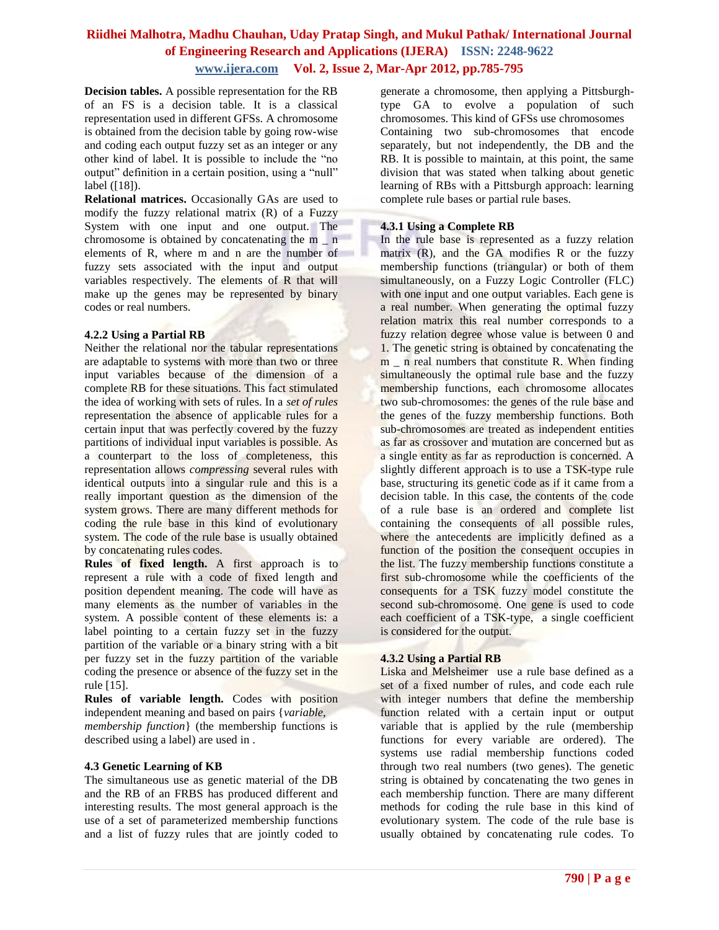**Decision tables.** A possible representation for the RB of an FS is a decision table. It is a classical representation used in different GFSs. A chromosome is obtained from the decision table by going row-wise and coding each output fuzzy set as an integer or any other kind of label. It is possible to include the "no output" definition in a certain position, using a "null" label ([18]).

**Relational matrices.** Occasionally GAs are used to modify the fuzzy relational matrix (R) of a Fuzzy System with one input and one output. The chromosome is obtained by concatenating the m \_ n elements of R, where m and n are the number of fuzzy sets associated with the input and output variables respectively. The elements of R that will make up the genes may be represented by binary codes or real numbers.

### **4.2.2 Using a Partial RB**

Neither the relational nor the tabular representations are adaptable to systems with more than two or three input variables because of the dimension of a complete RB for these situations. This fact stimulated the idea of working with sets of rules. In a *set of rules*  representation the absence of applicable rules for a certain input that was perfectly covered by the fuzzy partitions of individual input variables is possible. As a counterpart to the loss of completeness, this representation allows *compressing* several rules with identical outputs into a singular rule and this is a really important question as the dimension of the system grows. There are many different methods for coding the rule base in this kind of evolutionary system. The code of the rule base is usually obtained by concatenating rules codes.

**Rules of fixed length.** A first approach is to represent a rule with a code of fixed length and position dependent meaning. The code will have as many elements as the number of variables in the system. A possible content of these elements is: a label pointing to a certain fuzzy set in the fuzzy partition of the variable or a binary string with a bit per fuzzy set in the fuzzy partition of the variable coding the presence or absence of the fuzzy set in the rule [15].

**Rules of variable length.** Codes with position independent meaning and based on pairs {*variable, membership function*} (the membership functions is described using a label) are used in .

### **4.3 Genetic Learning of KB**

The simultaneous use as genetic material of the DB and the RB of an FRBS has produced different and interesting results. The most general approach is the use of a set of parameterized membership functions and a list of fuzzy rules that are jointly coded to

generate a chromosome, then applying a Pittsburghtype GA to evolve a population of such chromosomes. This kind of GFSs use chromosomes Containing two sub-chromosomes that encode separately, but not independently, the DB and the RB. It is possible to maintain, at this point, the same division that was stated when talking about genetic learning of RBs with a Pittsburgh approach: learning complete rule bases or partial rule bases.

### **4.3.1 Using a Complete RB**

In the rule base is represented as a fuzzy relation matrix (R), and the GA modifies R or the fuzzy membership functions (triangular) or both of them simultaneously, on a Fuzzy Logic Controller (FLC) with one input and one output variables. Each gene is a real number. When generating the optimal fuzzy relation matrix this real number corresponds to a fuzzy relation degree whose value is between 0 and 1. The genetic string is obtained by concatenating the m in real numbers that constitute R. When finding simultaneously the optimal rule base and the fuzzy membership functions, each chromosome allocates two sub-chromosomes: the genes of the rule base and the genes of the fuzzy membership functions. Both sub-chromosomes are treated as independent entities as far as crossover and mutation are concerned but as a single entity as far as reproduction is concerned. A slightly different approach is to use a TSK-type rule base, structuring its genetic code as if it came from a decision table. In this case, the contents of the code of a rule base is an ordered and complete list containing the consequents of all possible rules, where the antecedents are implicitly defined as a function of the position the consequent occupies in the list. The fuzzy membership functions constitute a first sub-chromosome while the coefficients of the consequents for a TSK fuzzy model constitute the second sub-chromosome. One gene is used to code each coefficient of a TSK-type, a single coefficient is considered for the output.

### **4.3.2 Using a Partial RB**

Liska and Melsheimer use a rule base defined as a set of a fixed number of rules, and code each rule with integer numbers that define the membership function related with a certain input or output variable that is applied by the rule (membership functions for every variable are ordered). The systems use radial membership functions coded through two real numbers (two genes). The genetic string is obtained by concatenating the two genes in each membership function. There are many different methods for coding the rule base in this kind of evolutionary system. The code of the rule base is usually obtained by concatenating rule codes. To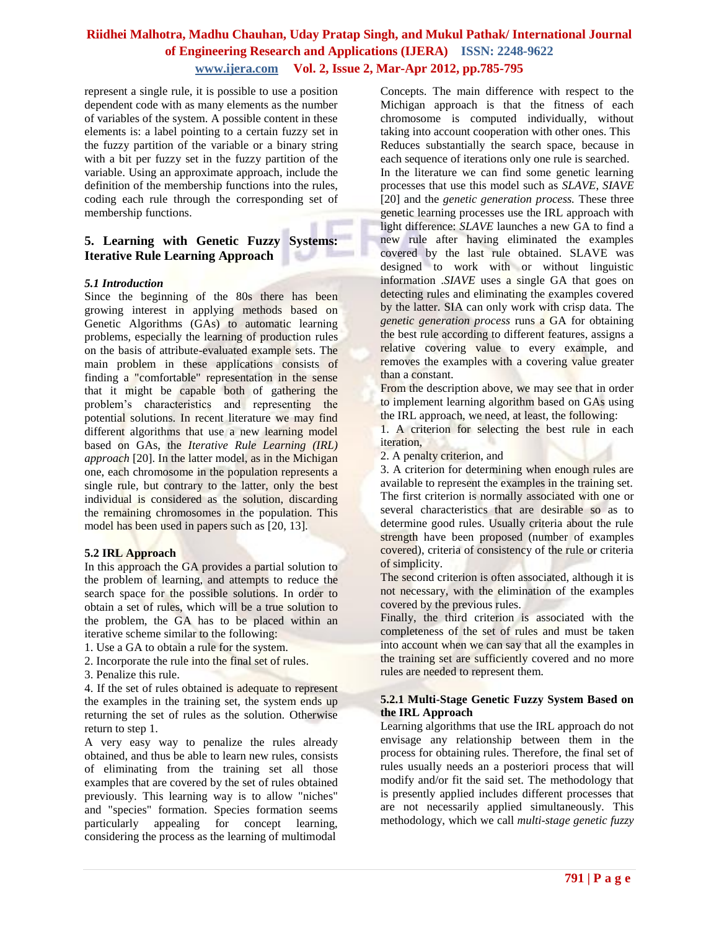represent a single rule, it is possible to use a position dependent code with as many elements as the number of variables of the system. A possible content in these elements is: a label pointing to a certain fuzzy set in the fuzzy partition of the variable or a binary string with a bit per fuzzy set in the fuzzy partition of the variable. Using an approximate approach, include the definition of the membership functions into the rules, coding each rule through the corresponding set of membership functions.

### **5. Learning with Genetic Fuzzy Systems: Iterative Rule Learning Approach**

### *5.1 Introduction*

Since the beginning of the 80s there has been growing interest in applying methods based on Genetic Algorithms (GAs) to automatic learning problems, especially the learning of production rules on the basis of attribute-evaluated example sets. The main problem in these applications consists of finding a "comfortable" representation in the sense that it might be capable both of gathering the problem's characteristics and representing the potential solutions. In recent literature we may find different algorithms that use a new learning model based on GAs, the *Iterative Rule Learning (IRL) approach* [20]. In the latter model, as in the Michigan one, each chromosome in the population represents a single rule, but contrary to the latter, only the best individual is considered as the solution, discarding the remaining chromosomes in the population. This model has been used in papers such as [20, 13].

#### **5.2 IRL Approach**

In this approach the GA provides a partial solution to the problem of learning, and attempts to reduce the search space for the possible solutions. In order to obtain a set of rules, which will be a true solution to the problem, the GA has to be placed within an iterative scheme similar to the following:

- 1. Use a GA to obtain a rule for the system.
- 2. Incorporate the rule into the final set of rules.
- 3. Penalize this rule.

4. If the set of rules obtained is adequate to represent the examples in the training set, the system ends up returning the set of rules as the solution. Otherwise return to step 1.

A very easy way to penalize the rules already obtained, and thus be able to learn new rules, consists of eliminating from the training set all those examples that are covered by the set of rules obtained previously. This learning way is to allow "niches" and "species" formation. Species formation seems particularly appealing for concept learning, considering the process as the learning of multimodal

Concepts. The main difference with respect to the Michigan approach is that the fitness of each chromosome is computed individually, without taking into account cooperation with other ones. This Reduces substantially the search space, because in each sequence of iterations only one rule is searched. In the literature we can find some genetic learning processes that use this model such as *SLAVE*, *SIAVE* [20] and the *genetic generation process.* These three genetic learning processes use the IRL approach with light difference: *SLAVE* launches a new GA to find a new rule after having eliminated the examples covered by the last rule obtained. SLAVE was designed to work with or without linguistic information .*SIAVE* uses a single GA that goes on detecting rules and eliminating the examples covered by the latter. SIA can only work with crisp data. The *genetic generation process* runs a GA for obtaining the best rule according to different features, assigns a relative covering value to every example, and removes the examples with a covering value greater than a constant.

From the description above, we may see that in order to implement learning algorithm based on GAs using the IRL approach, we need, at least, the following:

1. A criterion for selecting the best rule in each iteration,

2. A penalty criterion, and

3. A criterion for determining when enough rules are available to represent the examples in the training set. The first criterion is normally associated with one or several characteristics that are desirable so as to determine good rules. Usually criteria about the rule strength have been proposed (number of examples covered), criteria of consistency of the rule or criteria of simplicity.

The second criterion is often associated, although it is not necessary, with the elimination of the examples covered by the previous rules.

Finally, the third criterion is associated with the completeness of the set of rules and must be taken into account when we can say that all the examples in the training set are sufficiently covered and no more rules are needed to represent them.

### **5.2.1 Multi-Stage Genetic Fuzzy System Based on the IRL Approach**

Learning algorithms that use the IRL approach do not envisage any relationship between them in the process for obtaining rules. Therefore, the final set of rules usually needs an a posteriori process that will modify and/or fit the said set. The methodology that is presently applied includes different processes that are not necessarily applied simultaneously. This methodology, which we call *multi-stage genetic fuzzy*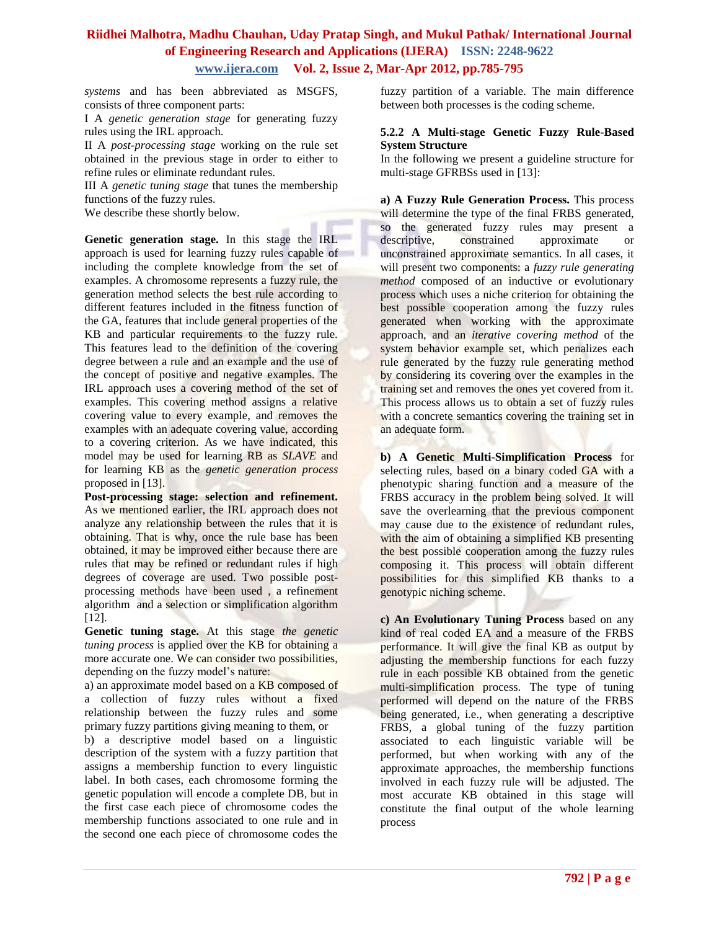*systems* and has been abbreviated as MSGFS, consists of three component parts:

I A *genetic generation stage* for generating fuzzy rules using the IRL approach.

II A *post-processing stage* working on the rule set obtained in the previous stage in order to either to refine rules or eliminate redundant rules.

III A *genetic tuning stage* that tunes the membership functions of the fuzzy rules.

We describe these shortly below.

**Genetic generation stage.** In this stage the IRL approach is used for learning fuzzy rules capable of including the complete knowledge from the set of examples. A chromosome represents a fuzzy rule, the generation method selects the best rule according to different features included in the fitness function of the GA, features that include general properties of the KB and particular requirements to the fuzzy rule. This features lead to the definition of the covering degree between a rule and an example and the use of the concept of positive and negative examples. The IRL approach uses a covering method of the set of examples. This covering method assigns a relative covering value to every example, and removes the examples with an adequate covering value, according to a covering criterion. As we have indicated, this model may be used for learning RB as *SLAVE* and for learning KB as the *genetic generation process*  proposed in [13].

**Post-processing stage: selection and refinement.**  As we mentioned earlier, the IRL approach does not analyze any relationship between the rules that it is obtaining. That is why, once the rule base has been obtained, it may be improved either because there are rules that may be refined or redundant rules if high degrees of coverage are used. Two possible postprocessing methods have been used , a refinement algorithm and a selection or simplification algorithm [12].

**Genetic tuning stage.** At this stage *the genetic tuning process* is applied over the KB for obtaining a more accurate one. We can consider two possibilities, depending on the fuzzy model's nature:

a) an approximate model based on a KB composed of a collection of fuzzy rules without a fixed relationship between the fuzzy rules and some primary fuzzy partitions giving meaning to them, or

b) a descriptive model based on a linguistic description of the system with a fuzzy partition that assigns a membership function to every linguistic label. In both cases, each chromosome forming the genetic population will encode a complete DB, but in the first case each piece of chromosome codes the membership functions associated to one rule and in the second one each piece of chromosome codes the

fuzzy partition of a variable. The main difference between both processes is the coding scheme.

### **5.2.2 A Multi-stage Genetic Fuzzy Rule-Based System Structure**

In the following we present a guideline structure for multi-stage GFRBSs used in [13]:

**a) A Fuzzy Rule Generation Process.** This process will determine the type of the final FRBS generated, so the generated fuzzy rules may present a descriptive, constrained approximate or unconstrained approximate semantics. In all cases, it will present two components: a *fuzzy rule generating method* composed of an inductive or evolutionary process which uses a niche criterion for obtaining the best possible cooperation among the fuzzy rules generated when working with the approximate approach, and an *iterative covering method* of the system behavior example set, which penalizes each rule generated by the fuzzy rule generating method by considering its covering over the examples in the training set and removes the ones yet covered from it. This process allows us to obtain a set of fuzzy rules with a concrete semantics covering the training set in an adequate form.

**b) A Genetic Multi-Simplification Process** for selecting rules, based on a binary coded GA with a phenotypic sharing function and a measure of the FRBS accuracy in the problem being solved. It will save the overlearning that the previous component may cause due to the existence of redundant rules, with the aim of obtaining a simplified KB presenting the best possible cooperation among the fuzzy rules composing it. This process will obtain different possibilities for this simplified KB thanks to a genotypic niching scheme.

**c) An Evolutionary Tuning Process** based on any kind of real coded EA and a measure of the FRBS performance. It will give the final KB as output by adjusting the membership functions for each fuzzy rule in each possible KB obtained from the genetic multi-simplification process. The type of tuning performed will depend on the nature of the FRBS being generated, i.e., when generating a descriptive FRBS, a global tuning of the fuzzy partition associated to each linguistic variable will be performed, but when working with any of the approximate approaches, the membership functions involved in each fuzzy rule will be adjusted. The most accurate KB obtained in this stage will constitute the final output of the whole learning process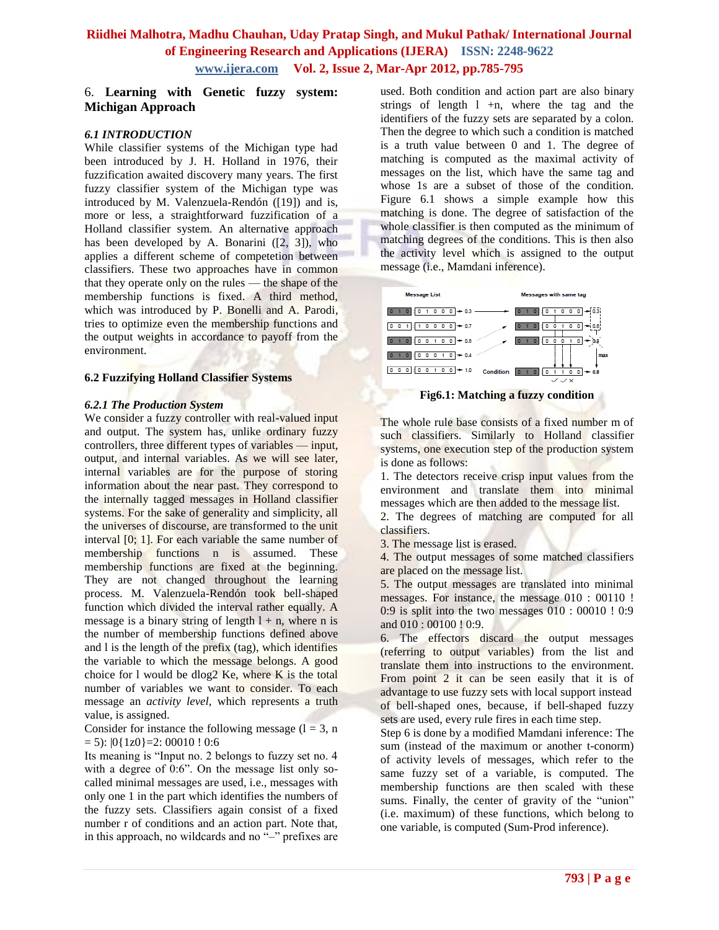### 6. **Learning with Genetic fuzzy system: Michigan Approach**

### *6.1 INTRODUCTION*

While classifier systems of the Michigan type had been introduced by J. H. Holland in 1976, their fuzzification awaited discovery many years. The first fuzzy classifier system of the Michigan type was introduced by M. Valenzuela-Rendón ([19]) and is, more or less, a straightforward fuzzification of a Holland classifier system. An alternative approach has been developed by A. Bonarini ([2, 3]), who applies a different scheme of competetion between classifiers. These two approaches have in common that they operate only on the rules — the shape of the membership functions is fixed. A third method, which was introduced by P. Bonelli and A. Parodi, tries to optimize even the membership functions and the output weights in accordance to payoff from the environment.

#### **6.2 Fuzzifying Holland Classifier Systems**

#### *6.2.1 The Production System*

We consider a fuzzy controller with real-valued input and output. The system has, unlike ordinary fuzzy controllers, three different types of variables — input, output, and internal variables. As we will see later, internal variables are for the purpose of storing information about the near past. They correspond to the internally tagged messages in Holland classifier systems. For the sake of generality and simplicity, all the universes of discourse, are transformed to the unit interval [0; 1]. For each variable the same number of membership functions n is assumed. These membership functions are fixed at the beginning. They are not changed throughout the learning process. M. Valenzuela-Rendón took bell-shaped function which divided the interval rather equally. A message is a binary string of length  $l + n$ , where n is the number of membership functions defined above and l is the length of the prefix (tag), which identifies the variable to which the message belongs. A good choice for  $l$  would be dlog2 Ke, where K is the total number of variables we want to consider. To each message an *activity level*, which represents a truth value, is assigned.

Consider for instance the following message  $(l = 3, n)$  $= 5$ :  $|0{1z0} = 2$ : 00010 ! 0:6

Its meaning is "Input no. 2 belongs to fuzzy set no. 4 with a degree of 0:6". On the message list only socalled minimal messages are used, i.e., messages with only one 1 in the part which identifies the numbers of the fuzzy sets. Classifiers again consist of a fixed number r of conditions and an action part. Note that, in this approach, no wildcards and no "-" prefixes are

used. Both condition and action part are also binary strings of length  $l +n$ , where the tag and the identifiers of the fuzzy sets are separated by a colon. Then the degree to which such a condition is matched is a truth value between 0 and 1. The degree of matching is computed as the maximal activity of messages on the list, which have the same tag and whose 1s are a subset of those of the condition. Figure 6.1 shows a simple example how this matching is done. The degree of satisfaction of the whole classifier is then computed as the minimum of matching degrees of the conditions. This is then also the activity level which is assigned to the output message (i.e., Mamdani inference).



**Fig6.1: Matching a fuzzy condition**

The whole rule base consists of a fixed number m of such classifiers. Similarly to Holland classifier systems, one execution step of the production system is done as follows:

1. The detectors receive crisp input values from the environment and translate them into minimal messages which are then added to the message list.

2. The degrees of matching are computed for all classifiers.

3. The message list is erased.

4. The output messages of some matched classifiers are placed on the message list.

5. The output messages are translated into minimal messages. For instance, the message 010 : 00110 !  $0:9$  is split into the two messages  $0:00:00010:0:9$ and 010 : 00100 ! 0:9.

6. The effectors discard the output messages (referring to output variables) from the list and translate them into instructions to the environment. From point 2 it can be seen easily that it is of advantage to use fuzzy sets with local support instead of bell-shaped ones, because, if bell-shaped fuzzy sets are used, every rule fires in each time step.

Step 6 is done by a modified Mamdani inference: The sum (instead of the maximum or another t-conorm) of activity levels of messages, which refer to the same fuzzy set of a variable, is computed. The membership functions are then scaled with these sums. Finally, the center of gravity of the "union" (i.e. maximum) of these functions, which belong to one variable, is computed (Sum-Prod inference).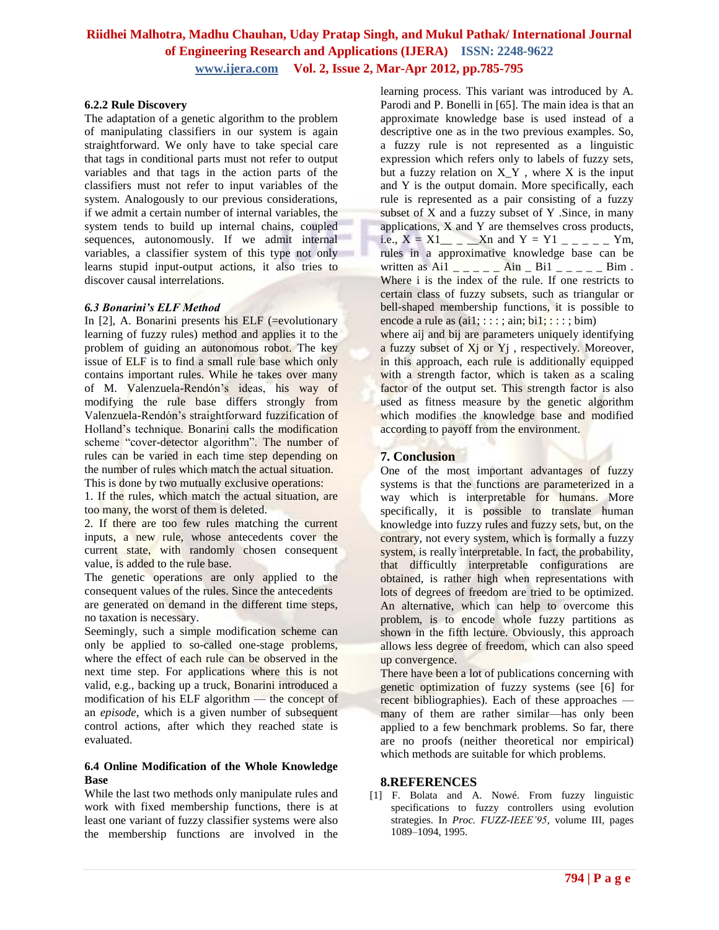### **6.2.2 Rule Discovery**

The adaptation of a genetic algorithm to the problem of manipulating classifiers in our system is again straightforward. We only have to take special care that tags in conditional parts must not refer to output variables and that tags in the action parts of the classifiers must not refer to input variables of the system. Analogously to our previous considerations, if we admit a certain number of internal variables, the system tends to build up internal chains, coupled sequences, autonomously. If we admit internal variables, a classifier system of this type not only learns stupid input-output actions, it also tries to discover causal interrelations.

### *6.3 Bonarini's ELF Method*

In [2], A. Bonarini presents his ELF (=evolutionary learning of fuzzy rules) method and applies it to the problem of guiding an autonomous robot. The key issue of ELF is to find a small rule base which only contains important rules. While he takes over many of M. Valenzuela-Rendón's ideas, his way of modifying the rule base differs strongly from Valenzuela-Rendón's straightforward fuzzification of Holland's technique. Bonarini calls the modification scheme "cover-detector algorithm". The number of rules can be varied in each time step depending on the number of rules which match the actual situation. This is done by two mutually exclusive operations:

1. If the rules, which match the actual situation, are too many, the worst of them is deleted.

2. If there are too few rules matching the current inputs, a new rule, whose antecedents cover the current state, with randomly chosen consequent value, is added to the rule base.

The genetic operations are only applied to the consequent values of the rules. Since the antecedents are generated on demand in the different time steps, no taxation is necessary.

Seemingly, such a simple modification scheme can only be applied to so-called one-stage problems, where the effect of each rule can be observed in the next time step. For applications where this is not valid, e.g., backing up a truck, Bonarini introduced a modification of his ELF algorithm — the concept of an *episode*, which is a given number of subsequent control actions, after which they reached state is evaluated.

### **6.4 Online Modification of the Whole Knowledge Base**

While the last two methods only manipulate rules and work with fixed membership functions, there is at least one variant of fuzzy classifier systems were also the membership functions are involved in the learning process. This variant was introduced by A. Parodi and P. Bonelli in [65]. The main idea is that an approximate knowledge base is used instead of a descriptive one as in the two previous examples. So, a fuzzy rule is not represented as a linguistic expression which refers only to labels of fuzzy sets, but a fuzzy relation on  $X_Y$ , where  $X$  is the input and Y is the output domain. More specifically, each rule is represented as a pair consisting of a fuzzy subset of  $X$  and a fuzzy subset of  $Y$  . Since, in many applications, X and Y are themselves cross products, i.e.,  $X = X1$  \_ \_ \_ \_ Xn and Y = Y1 \_ \_ \_ \_ \_ Ym, rules in a approximative knowledge base can be written as Ai1  $\frac{1}{2}$   $\frac{1}{2}$   $\frac{1}{2}$   $\frac{1}{2}$   $\frac{1}{2}$   $\frac{1}{2}$   $\frac{1}{2}$   $\frac{1}{2}$   $\frac{1}{2}$   $\frac{1}{2}$   $\frac{1}{2}$   $\frac{1}{2}$   $\frac{1}{2}$   $\frac{1}{2}$   $\frac{1}{2}$   $\frac{1}{2}$   $\frac{1}{2}$   $\frac{1}{2}$   $\frac{1}{2}$   $\frac{1}{2}$   $\frac{1}{$ Where i is the index of the rule. If one restricts to certain class of fuzzy subsets, such as triangular or bell-shaped membership functions, it is possible to encode a rule as  $(ai1; : : : : ; ain; bi1; : : : ; bim)$ 

where aij and bij are parameters uniquely identifying a fuzzy subset of X<sub>j</sub> or Y<sub>j</sub>, respectively. Moreover, in this approach, each rule is additionally equipped with a strength factor, which is taken as a scaling factor of the output set. This strength factor is also used as fitness measure by the genetic algorithm which modifies the knowledge base and modified according to payoff from the environment.

### **7. Conclusion**

One of the most important advantages of fuzzy systems is that the functions are parameterized in a way which is interpretable for humans. More specifically, it is possible to translate human knowledge into fuzzy rules and fuzzy sets, but, on the contrary, not every system, which is formally a fuzzy system, is really interpretable. In fact, the probability, that difficultly interpretable configurations are obtained, is rather high when representations with lots of degrees of freedom are tried to be optimized. An alternative, which can help to overcome this problem, is to encode whole fuzzy partitions as shown in the fifth lecture. Obviously, this approach allows less degree of freedom, which can also speed up convergence.

There have been a lot of publications concerning with genetic optimization of fuzzy systems (see [6] for recent bibliographies). Each of these approaches many of them are rather similar—has only been applied to a few benchmark problems. So far, there are no proofs (neither theoretical nor empirical) which methods are suitable for which problems.

### **8.REFERENCES**

[1] F. Bolata and A. Nowé. From fuzzy linguistic specifications to fuzzy controllers using evolution strategies. In *Proc. FUZZ-IEEE'95*, volume III, pages 1089–1094, 1995.